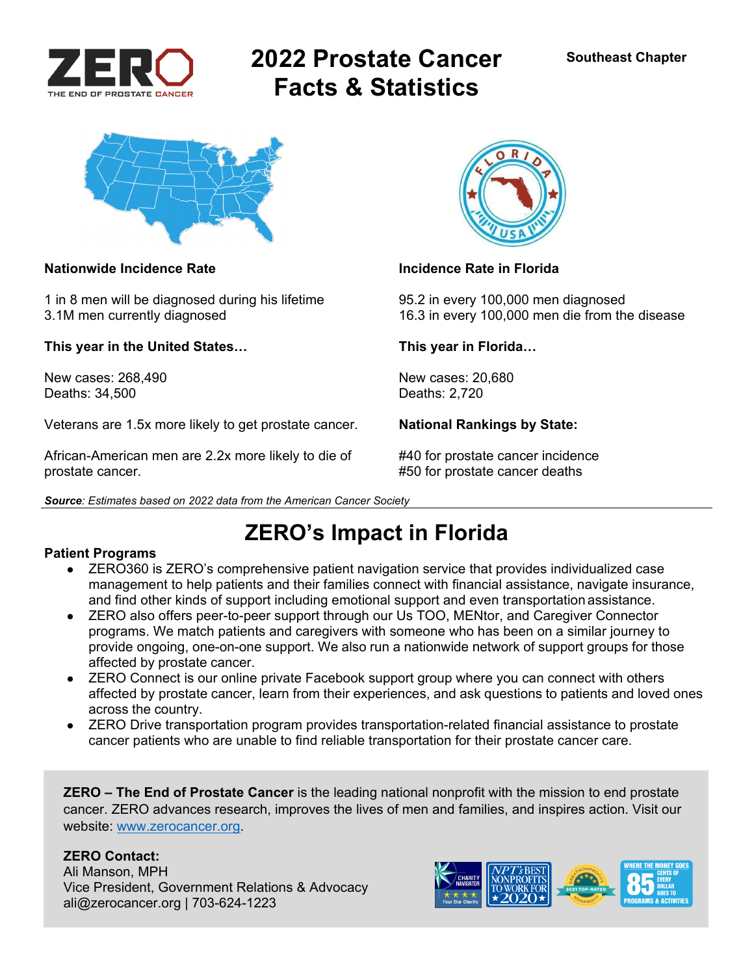

# **2022 Prostate Cancer Facts & Statistics**



### **Nationwide Incidence Rate Incidence Rate in Florida**

1 in 8 men will be diagnosed during his lifetime 95.2 in every 100,000 men diagnosed

**This year in the United States… This year in Florida…** 

New cases: 268,490 New cases: 20,680 Deaths: 34,500 Deaths: 2,720

Veterans are 1.5x more likely to get prostate cancer. **National Rankings by State:** 

African-American men are 2.2x more likely to die of #40 for prostate cancer incidence prostate cancer. #50 for prostate cancer deaths



3.1M men currently diagnosed 16.3 in every 100,000 men die from the disease

**ZERO's Impact in Florida** 

## **Patient Programs**

- ZERO360 is ZERO's comprehensive patient navigation service that provides individualized case management to help patients and their families connect with financial assistance, navigate insurance, and find other kinds of support including emotional support and even transportation assistance.
- ZERO also offers peer-to-peer support through our Us TOO, MENtor, and Caregiver Connector programs. We match patients and caregivers with someone who has been on a similar journey to provide ongoing, one-on-one support. We also run a nationwide network of support groups for those affected by prostate cancer.
- ZERO Connect is our online private Facebook support group where you can connect with others affected by prostate cancer, learn from their experiences, and ask questions to patients and loved ones across the country.
- ZERO Drive transportation program provides transportation-related financial assistance to prostate cancer patients who are unable to find reliable transportation for their prostate cancer care.

**ZERO – The End of Prostate Cancer** is the leading national nonprofit with the mission to end prostate cancer. ZERO advances research, improves the lives of men and families, and inspires action. Visit our website: www.zerocancer.org.

## **ZERO Contact:**

Ali Manson, MPH Vice President, Government Relations & Advocacy ali@zerocancer.org | 703-624-1223

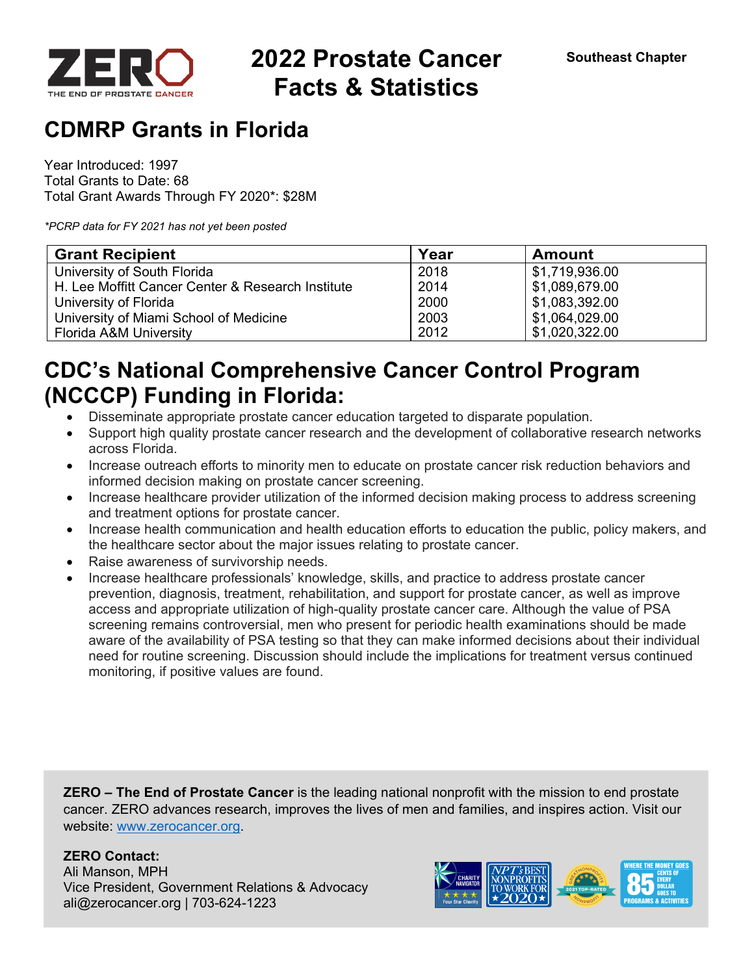

## **2022 Prostate Cancer Facts & Statistics**

## **CDMRP Grants in Florida**

Year Introduced: 1997 Total Grants to Date: 68 Total Grant Awards Through FY 2020\*: \$28M

*\*PCRP data for FY 2021 has not yet been posted* 

| <b>Grant Recipient</b>                            | Year | <b>Amount</b>                |
|---------------------------------------------------|------|------------------------------|
| University of South Florida                       | 2018 | \$1,719,936.00               |
| H. Lee Moffitt Cancer Center & Research Institute | 2014 | \$1,089,679.00               |
| University of Florida                             | 2000 | $\frac{1}{2}$ \$1,083,392.00 |
| University of Miami School of Medicine            | 2003 | \$1,064,029.00               |
| <b>Florida A&amp;M University</b>                 | 2012 | \$1,020,322.00               |

## **CDC's National Comprehensive Cancer Control Program (NCCCP) Funding in Florida:**

- Disseminate appropriate prostate cancer education targeted to disparate population.
- Support high quality prostate cancer research and the development of collaborative research networks across Florida.
- Increase outreach efforts to minority men to educate on prostate cancer risk reduction behaviors and informed decision making on prostate cancer screening.
- Increase healthcare provider utilization of the informed decision making process to address screening and treatment options for prostate cancer.
- Increase health communication and health education efforts to education the public, policy makers, and the healthcare sector about the major issues relating to prostate cancer.
- Raise awareness of survivorship needs.
- Increase healthcare professionals' knowledge, skills, and practice to address prostate cancer prevention, diagnosis, treatment, rehabilitation, and support for prostate cancer, as well as improve access and appropriate utilization of high-quality prostate cancer care. Although the value of PSA screening remains controversial, men who present for periodic health examinations should be made aware of the availability of PSA testing so that they can make informed decisions about their individual need for routine screening. Discussion should include the implications for treatment versus continued monitoring, if positive values are found.

**ZERO – The End of Prostate Cancer** is the leading national nonprofit with the mission to end prostate cancer. ZERO advances research, improves the lives of men and families, and inspires action. Visit our website: www.zerocancer.org.

## **ZERO Contact:**

Ali Manson, MPH Vice President, Government Relations & Advocacy ali@zerocancer.org | 703-624-1223